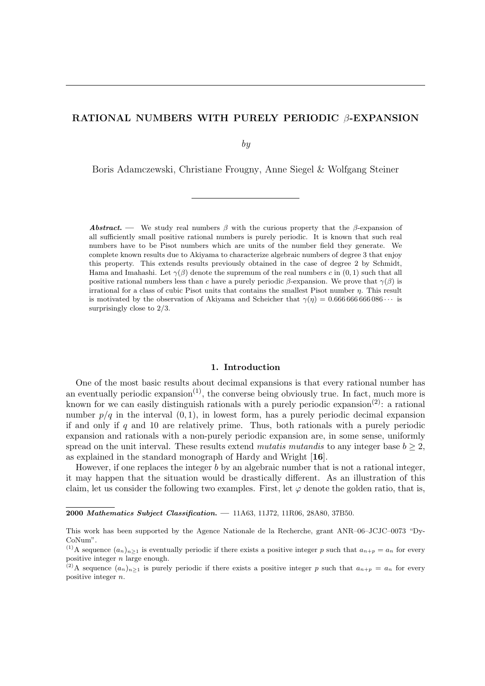# RATIONAL NUMBERS WITH PURELY PERIODIC β-EXPANSION

by

Boris Adamczewski, Christiane Frougny, Anne Siegel & Wolfgang Steiner

**Abstract.** — We study real numbers  $\beta$  with the curious property that the  $\beta$ -expansion of all sufficiently small positive rational numbers is purely periodic. It is known that such real numbers have to be Pisot numbers which are units of the number field they generate. We complete known results due to Akiyama to characterize algebraic numbers of degree 3 that enjoy this property. This extends results previously obtained in the case of degree 2 by Schmidt, Hama and Imahashi. Let  $\gamma(\beta)$  denote the supremum of the real numbers c in  $(0, 1)$  such that all positive rational numbers less than c have a purely periodic  $\beta$ -expansion. We prove that  $\gamma(\beta)$  is irrational for a class of cubic Pisot units that contains the smallest Pisot number  $\eta$ . This result is motivated by the observation of Akiyama and Scheicher that  $\gamma(\eta) = 0.666666666666 \cdots$  is surprisingly close to 2/3.

### 1. Introduction

One of the most basic results about decimal expansions is that every rational number has an eventually periodic expansion<sup>(1)</sup>, the converse being obviously true. In fact, much more is known for we can easily distinguish rationals with a purely periodic expansion<sup>(2)</sup>: a rational number  $p/q$  in the interval  $(0, 1)$ , in lowest form, has a purely periodic decimal expansion if and only if  $q$  and 10 are relatively prime. Thus, both rationals with a purely periodic expansion and rationals with a non-purely periodic expansion are, in some sense, uniformly spread on the unit interval. These results extend mutatis mutandis to any integer base  $b \geq 2$ , as explained in the standard monograph of Hardy and Wright [16].

However, if one replaces the integer b by an algebraic number that is not a rational integer, it may happen that the situation would be drastically different. As an illustration of this claim, let us consider the following two examples. First, let  $\varphi$  denote the golden ratio, that is,

<sup>2000</sup> Mathematics Subject Classification. — 11A63, 11J72, 11R06, 28A80, 37B50.

This work has been supported by the Agence Nationale de la Recherche, grant ANR–06–JCJC–0073 "Dy-CoNum".

<sup>&</sup>lt;sup>(1)</sup>A sequence  $(a_n)_{n\geq 1}$  is eventually periodic if there exists a positive integer p such that  $a_{n+p} = a_n$  for every positive integer  $n$  large enough.

<sup>&</sup>lt;sup>(2)</sup>A sequence  $(a_n)_{n\geq 1}$  is purely periodic if there exists a positive integer p such that  $a_{n+p} = a_n$  for every positive integer n.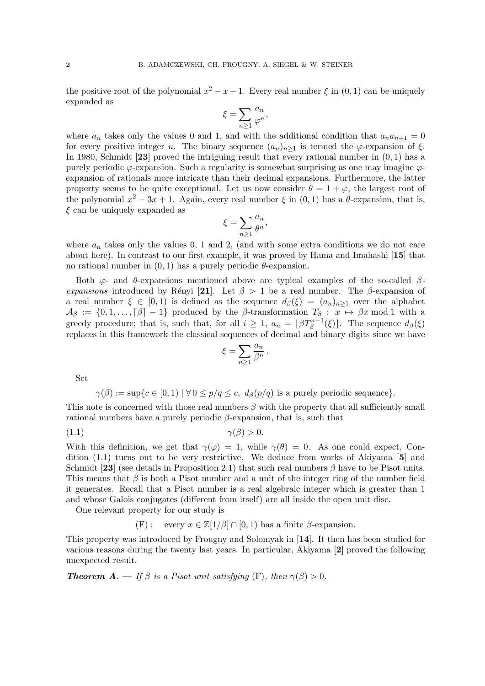the positive root of the polynomial  $x^2 - x - 1$ . Every real number  $\xi$  in  $(0, 1)$  can be uniquely expanded as

$$
\xi = \sum_{n\geq 1} \frac{a_n}{\varphi^n},
$$

where  $a_n$  takes only the values 0 and 1, and with the additional condition that  $a_n a_{n+1} = 0$ for every positive integer n. The binary sequence  $(a_n)_{n>1}$  is termed the  $\varphi$ -expansion of  $\xi$ . In 1980, Schmidt [23] proved the intriguing result that every rational number in  $(0, 1)$  has a purely periodic  $\varphi$ -expansion. Such a regularity is somewhat surprising as one may imagine  $\varphi$ expansion of rationals more intricate than their decimal expansions. Furthermore, the latter property seems to be quite exceptional. Let us now consider  $\theta = 1 + \varphi$ , the largest root of the polynomial  $x^2 - 3x + 1$ . Again, every real number  $\xi$  in  $(0, 1)$  has a  $\theta$ -expansion, that is,  $\xi$  can be uniquely expanded as

$$
\xi = \sum_{n\geq 1} \frac{a_n}{\theta^n},
$$

where  $a_n$  takes only the values 0, 1 and 2, (and with some extra conditions we do not care about here). In contrast to our first example, it was proved by Hama and Imahashi [15] that no rational number in  $(0, 1)$  has a purely periodic θ-expansion.

Both  $\varphi$ - and  $\theta$ -expansions mentioned above are typical examples of the so-called  $\beta$ expansions introduced by Rényi [21]. Let  $\beta > 1$  be a real number. The β-expansion of a real number  $\xi \in [0,1)$  is defined as the sequence  $d_{\beta}(\xi) = (a_n)_{n>1}$  over the alphabet  $\mathcal{A}_{\beta} := \{0, 1, \ldots, \lceil \beta \rceil - 1\}$  produced by the  $\beta$ -transformation  $T_{\beta} : x \mapsto \beta x \mod 1$  with a greedy procedure; that is, such that, for all  $i \geq 1$ ,  $a_n = \lfloor \beta T_{\beta}^{n-1}(\xi) \rfloor$ . The sequence  $d_{\beta}(\xi)$ replaces in this framework the classical sequences of decimal and binary digits since we have

$$
\xi = \sum_{n\geq 1} \frac{a_n}{\beta^n} \, .
$$

Set

$$
\gamma(\beta) := \sup\{c \in [0,1) \mid \forall 0 \le p/q \le c, \ d_{\beta}(p/q) \text{ is a purely periodic sequence}\}.
$$

This note is concerned with those real numbers  $\beta$  with the property that all sufficiently small rational numbers have a purely periodic  $\beta$ -expansion, that is, such that

$$
\gamma(\beta) > 0.
$$

With this definition, we get that  $\gamma(\varphi) = 1$ , while  $\gamma(\theta) = 0$ . As one could expect, Condition (1.1) turns out to be very restrictive. We deduce from works of Akiyama [5] and Schmidt [23] (see details in Proposition 2.1) that such real numbers  $\beta$  have to be Pisot units. This means that  $\beta$  is both a Pisot number and a unit of the integer ring of the number field it generates. Recall that a Pisot number is a real algebraic integer which is greater than 1 and whose Galois conjugates (different from itself) are all inside the open unit disc.

One relevant property for our study is

(F): every  $x \in \mathbb{Z}[1/\beta] \cap [0,1)$  has a finite  $\beta$ -expansion.

This property was introduced by Frougny and Solomyak in [14]. It then has been studied for various reasons during the twenty last years. In particular, Akiyama [2] proved the following unexpected result.

**Theorem A.** — If  $\beta$  is a Pisot unit satisfying (F), then  $\gamma(\beta) > 0$ .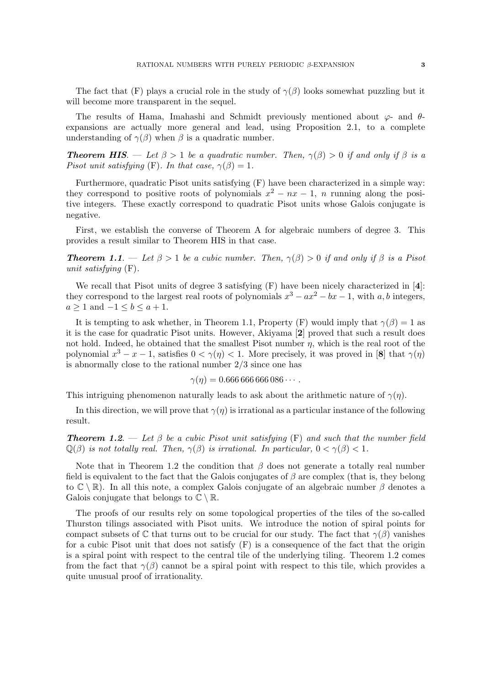The fact that (F) plays a crucial role in the study of  $\gamma(\beta)$  looks somewhat puzzling but it will become more transparent in the sequel.

The results of Hama, Imahashi and Schmidt previously mentioned about  $\varphi$ - and  $\theta$ expansions are actually more general and lead, using Proposition 2.1, to a complete understanding of  $\gamma(\beta)$  when  $\beta$  is a quadratic number.

**Theorem HIS.** — Let  $\beta > 1$  be a quadratic number. Then,  $\gamma(\beta) > 0$  if and only if  $\beta$  is a Pisot unit satisfying (F). In that case,  $\gamma(\beta) = 1$ .

Furthermore, quadratic Pisot units satisfying (F) have been characterized in a simple way: they correspond to positive roots of polynomials  $x^2 - nx - 1$ , n running along the positive integers. These exactly correspond to quadratic Pisot units whose Galois conjugate is negative.

First, we establish the converse of Theorem A for algebraic numbers of degree 3. This provides a result similar to Theorem HIS in that case.

**Theorem 1.1.** — Let  $\beta > 1$  be a cubic number. Then,  $\gamma(\beta) > 0$  if and only if  $\beta$  is a Pisot unit satisfying (F).

We recall that Pisot units of degree 3 satisfying  $(F)$  have been nicely characterized in [4]: they correspond to the largest real roots of polynomials  $x^3 - ax^2 - bx - 1$ , with a, b integers,  $a \geq 1$  and  $-1 \leq b \leq a+1$ .

It is tempting to ask whether, in Theorem 1.1, Property (F) would imply that  $\gamma(\beta) = 1$  as it is the case for quadratic Pisot units. However, Akiyama [2] proved that such a result does not hold. Indeed, he obtained that the smallest Pisot number  $\eta$ , which is the real root of the polynomial  $x^3 - x - 1$ , satisfies  $0 < \gamma(\eta) < 1$ . More precisely, it was proved in [8] that  $\gamma(\eta)$ is abnormally close to the rational number 2/3 since one has

$$
\gamma(\eta) = 0.666\,666\,666\,086\cdots.
$$

This intriguing phenomenon naturally leads to ask about the arithmetic nature of  $\gamma(\eta)$ .

In this direction, we will prove that  $\gamma(\eta)$  is irrational as a particular instance of the following result.

**Theorem 1.2.** — Let  $\beta$  be a cubic Pisot unit satisfying (F) and such that the number field  $\mathbb{Q}(\beta)$  is not totally real. Then,  $\gamma(\beta)$  is irrational. In particular,  $0 < \gamma(\beta) < 1$ .

Note that in Theorem 1.2 the condition that  $\beta$  does not generate a totally real number field is equivalent to the fact that the Galois conjugates of  $\beta$  are complex (that is, they belong to  $\mathbb{C} \setminus \mathbb{R}$ . In all this note, a complex Galois conjugate of an algebraic number  $\beta$  denotes a Galois conjugate that belongs to  $\mathbb{C} \setminus \mathbb{R}$ .

The proofs of our results rely on some topological properties of the tiles of the so-called Thurston tilings associated with Pisot units. We introduce the notion of spiral points for compact subsets of  $\mathbb C$  that turns out to be crucial for our study. The fact that  $\gamma(\beta)$  vanishes for a cubic Pisot unit that does not satisfy (F) is a consequence of the fact that the origin is a spiral point with respect to the central tile of the underlying tiling. Theorem 1.2 comes from the fact that  $\gamma(\beta)$  cannot be a spiral point with respect to this tile, which provides a quite unusual proof of irrationality.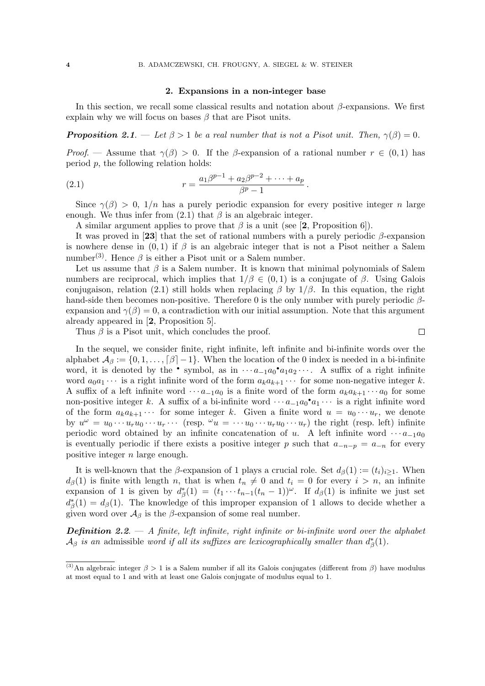### 2. Expansions in a non-integer base

In this section, we recall some classical results and notation about  $\beta$ -expansions. We first explain why we will focus on bases  $\beta$  that are Pisot units.

**Proposition** 2.1. — Let  $\beta > 1$  be a real number that is not a Pisot unit. Then,  $\gamma(\beta) = 0$ .

*Proof.* — Assume that  $\gamma(\beta) > 0$ . If the  $\beta$ -expansion of a rational number  $r \in (0,1)$  has period p, the following relation holds:

(2.1) 
$$
r = \frac{a_1\beta^{p-1} + a_2\beta^{p-2} + \dots + a_p}{\beta^p - 1}.
$$

Since  $\gamma(\beta) > 0$ ,  $1/n$  has a purely periodic expansion for every positive integer n large enough. We thus infer from  $(2.1)$  that  $\beta$  is an algebraic integer.

A similar argument applies to prove that  $\beta$  is a unit (see [2, Proposition 6]).

It was proved in [23] that the set of rational numbers with a purely periodic  $\beta$ -expansion is nowhere dense in  $(0, 1)$  if  $\beta$  is an algebraic integer that is not a Pisot neither a Salem number<sup>(3)</sup>. Hence  $\beta$  is either a Pisot unit or a Salem number.

Let us assume that  $\beta$  is a Salem number. It is known that minimal polynomials of Salem numbers are reciprocal, which implies that  $1/\beta \in (0,1)$  is a conjugate of  $\beta$ . Using Galois conjugaison, relation (2.1) still holds when replacing  $\beta$  by  $1/\beta$ . In this equation, the right hand-side then becomes non-positive. Therefore 0 is the only number with purely periodic  $\beta$ expansion and  $\gamma(\beta) = 0$ , a contradiction with our initial assumption. Note that this argument already appeared in [2, Proposition 5].

Thus  $\beta$  is a Pisot unit, which concludes the proof.

 $\Box$ 

In the sequel, we consider finite, right infinite, left infinite and bi-infinite words over the alphabet  $\mathcal{A}_{\beta} := \{0, 1, \ldots, \lceil \beta \rceil -1\}$ . When the location of the 0 index is needed in a bi-infinite word, it is denoted by the • symbol, as in  $\cdots a_{-1}a_0$ • $a_1a_2\cdots$ . A suffix of a right infinite word  $a_0a_1 \cdots$  is a right infinite word of the form  $a_ka_{k+1} \cdots$  for some non-negative integer k. A suffix of a left infinite word  $\cdots a_{-1}a_0$  is a finite word of the form  $a_ka_{k+1}\cdots a_0$  for some non-positive integer k. A suffix of a bi-infinite word  $\cdots a_{-1}a_0^{\bullet}a_1\cdots$  is a right infinite word of the form  $a_k a_{k+1} \cdots$  for some integer k. Given a finite word  $u = u_0 \cdots u_r$ , we denote by  $u^{\omega} = u_0 \cdots u_r u_0 \cdots u_r \cdots$  (resp.  $^{\omega} u = \cdots u_0 \cdots u_r u_0 \cdots u_r$ ) the right (resp. left) infinite periodic word obtained by an infinite concatenation of u. A left infinite word  $\cdots a_{-1}a_0$ is eventually periodic if there exists a positive integer p such that  $a_{-n-p} = a_{-n}$  for every positive integer n large enough.

It is well-known that the β-expansion of 1 plays a crucial role. Set  $d_{\beta}(1) := (t_i)_{i>1}$ . When  $d_{\beta}(1)$  is finite with length n, that is when  $t_n \neq 0$  and  $t_i = 0$  for every  $i > n$ , an infinite expansion of 1 is given by  $d_{\beta}^*(1) = (t_1 \cdots t_{n-1}(t_n-1))^{\omega}$ . If  $d_{\beta}(1)$  is infinite we just set  $d_{\beta}^{*}(1) = d_{\beta}(1)$ . The knowledge of this improper expansion of 1 allows to decide whether a given word over  $\mathcal{A}_{\beta}$  is the  $\beta$ -expansion of some real number.

**Definition 2.2.**  $-$  A finite, left infinite, right infinite or bi-infinite word over the alphabet  $\mathcal{A}_{\beta}$  is an admissible word if all its suffixes are lexicographically smaller than  $d_{\beta}^{*}(1)$ .

<sup>&</sup>lt;sup>(3)</sup>An algebraic integer  $\beta > 1$  is a Salem number if all its Galois conjugates (different from  $\beta$ ) have modulus at most equal to 1 and with at least one Galois conjugate of modulus equal to 1.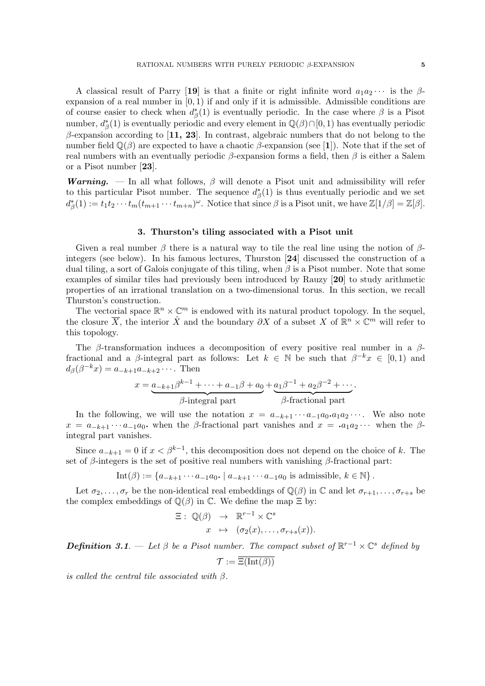A classical result of Parry [19] is that a finite or right infinite word  $a_1a_2\cdots$  is the  $\beta$ expansion of a real number in  $[0, 1)$  if and only if it is admissible. Admissible conditions are of course easier to check when  $d^*_{\beta}(1)$  is eventually periodic. In the case where  $\beta$  is a Pisot number,  $d^*_{\beta}(1)$  is eventually periodic and every element in  $\mathbb{Q}(\beta) \cap [0,1)$  has eventually periodic  $\beta$ -expansion according to [11, 23]. In contrast, algebraic numbers that do not belong to the number field  $\mathbb{Q}(\beta)$  are expected to have a chaotic  $\beta$ -expansion (see [1]). Note that if the set of real numbers with an eventually periodic  $\beta$ -expansion forms a field, then  $\beta$  is either a Salem or a Pisot number [23].

**Warning.** — In all what follows,  $\beta$  will denote a Pisot unit and admissibility will refer to this particular Pisot number. The sequence  $d^*_{\beta}(1)$  is thus eventually periodic and we set  $d_{\beta}^{*}(1) := t_1 t_2 \cdots t_m (t_{m+1} \cdots t_{m+n})^{\omega}$ . Notice that since  $\beta$  is a Pisot unit, we have  $\mathbb{Z}[1/\beta] = \mathbb{Z}[\beta]$ .

### 3. Thurston's tiling associated with a Pisot unit

Given a real number  $\beta$  there is a natural way to tile the real line using the notion of  $\beta$ integers (see below). In his famous lectures, Thurston [24] discussed the construction of a dual tiling, a sort of Galois conjugate of this tiling, when  $\beta$  is a Pisot number. Note that some examples of similar tiles had previously been introduced by Rauzy [20] to study arithmetic properties of an irrational translation on a two-dimensional torus. In this section, we recall Thurston's construction.

The vectorial space  $\mathbb{R}^n \times \mathbb{C}^m$  is endowed with its natural product topology. In the sequel, the closure  $\overline{X}$ , the interior  $\overset{\circ}{X}$  and the boundary  $\partial X$  of a subset X of  $\mathbb{R}^n \times \mathbb{C}^m$  will refer to this topology.

The  $\beta$ -transformation induces a decomposition of every positive real number in a  $\beta$ fractional and a  $\beta$ -integral part as follows: Let  $k \in \mathbb{N}$  be such that  $\beta^{-k}x \in [0,1)$  and  $d_{\beta}(\beta^{-k}x) = a_{-k+1}a_{-k+2}\cdots$ . Then

$$
x = \underbrace{a_{-k+1}\beta^{k-1} + \dots + a_{-1}\beta + a_0}_{\beta\text{-integral part}} + \underbrace{a_1\beta^{-1} + a_2\beta^{-2} + \dots}_{\beta\text{-fractional part}}.
$$

In the following, we will use the notation  $x = a_{-k+1} \cdots a_{-1} a_0 \cdot a_1 a_2 \cdots$ . We also note  $x = a_{-k+1} \cdots a_{-1} a_0$  when the  $\beta$ -fractional part vanishes and  $x = a_1 a_2 \cdots$  when the  $\beta$ integral part vanishes.

Since  $a_{-k+1} = 0$  if  $x < \beta^{k-1}$ , this decomposition does not depend on the choice of k. The set of  $\beta$ -integers is the set of positive real numbers with vanishing  $\beta$ -fractional part:

Int(
$$
\beta
$$
) := { $a_{-k+1} \cdots a_{-1} a_0$ , |  $a_{-k+1} \cdots a_{-1} a_0$  is admissible,  $k \in \mathbb{N}$  }.

Let  $\sigma_2, \ldots, \sigma_r$  be the non-identical real embeddings of  $\mathbb{Q}(\beta)$  in C and let  $\sigma_{r+1}, \ldots, \sigma_{r+s}$  be the complex embeddings of  $\mathbb{Q}(\beta)$  in  $\mathbb{C}$ . We define the map  $\Xi$  by:

$$
\Xi: \mathbb{Q}(\beta) \rightarrow \mathbb{R}^{r-1} \times \mathbb{C}^s
$$

$$
x \mapsto (\sigma_2(x), \dots, \sigma_{r+s}(x)).
$$

**Definition** 3.1. — Let  $\beta$  be a Pisot number. The compact subset of  $\mathbb{R}^{r-1} \times \mathbb{C}^s$  defined by  $\mathcal{T} := \overline{\Xi(\mathrm{Int}(\beta))}$ 

is called the central tile associated with  $\beta$ .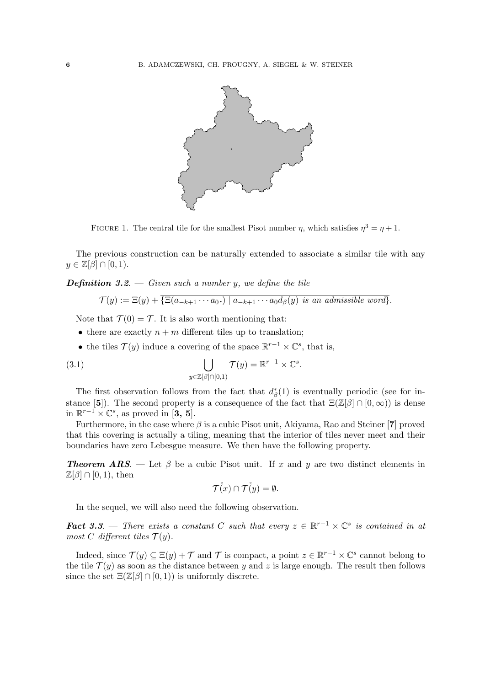

FIGURE 1. The central tile for the smallest Pisot number  $\eta$ , which satisfies  $\eta^3 = \eta + 1$ .

The previous construction can be naturally extended to associate a similar tile with any  $y \in \mathbb{Z}[\beta] \cap [0,1).$ 

**Definition** 3.2.  $\equiv$  Given such a number y, we define the tile

$$
\mathcal{T}(y) := \Xi(y) + \{\Xi(a_{-k+1}\cdots a_0)\mid a_{-k+1}\cdots a_0d_\beta(y) \text{ is an admissible word}\}.
$$

Note that  $\mathcal{T}(0) = \mathcal{T}$ . It is also worth mentioning that:

- there are exactly  $n + m$  different tiles up to translation;
- the tiles  $\mathcal{T}(y)$  induce a covering of the space  $\mathbb{R}^{r-1} \times \mathbb{C}^s$ , that is,

(3.1) 
$$
\bigcup_{y \in \mathbb{Z}[\beta] \cap [0,1)} \mathcal{T}(y) = \mathbb{R}^{r-1} \times \mathbb{C}^s.
$$

The first observation follows from the fact that  $d^*_{\beta}(1)$  is eventually periodic (see for instance [5]). The second property is a consequence of the fact that  $\Xi(\mathbb{Z}[\beta] \cap [0,\infty))$  is dense in  $\mathbb{R}^{r-1} \times \mathbb{C}^s$ , as proved in [3, 5].

Furthermore, in the case where  $\beta$  is a cubic Pisot unit, Akiyama, Rao and Steiner [7] proved that this covering is actually a tiling, meaning that the interior of tiles never meet and their boundaries have zero Lebesgue measure. We then have the following property.

**Theorem ARS.** — Let  $\beta$  be a cubic Pisot unit. If x and y are two distinct elements in  $\mathbb{Z}[\beta] \cap [0,1)$ , then

$$
\mathcal{T}(x) \cap \mathcal{T}(y) = \emptyset.
$$

In the sequel, we will also need the following observation.

**Fact 3.3.** — There exists a constant C such that every  $z \in \mathbb{R}^{r-1} \times \mathbb{C}^s$  is contained in at most C different tiles  $\mathcal{T}(y)$ .

Indeed, since  $\mathcal{T}(y) \subseteq \Xi(y) + \mathcal{T}$  and  $\mathcal{T}$  is compact, a point  $z \in \mathbb{R}^{r-1} \times \mathbb{C}^s$  cannot belong to the tile  $\mathcal{T}(y)$  as soon as the distance between y and z is large enough. The result then follows since the set  $\Xi(\mathbb{Z}[\beta] \cap [0,1))$  is uniformly discrete.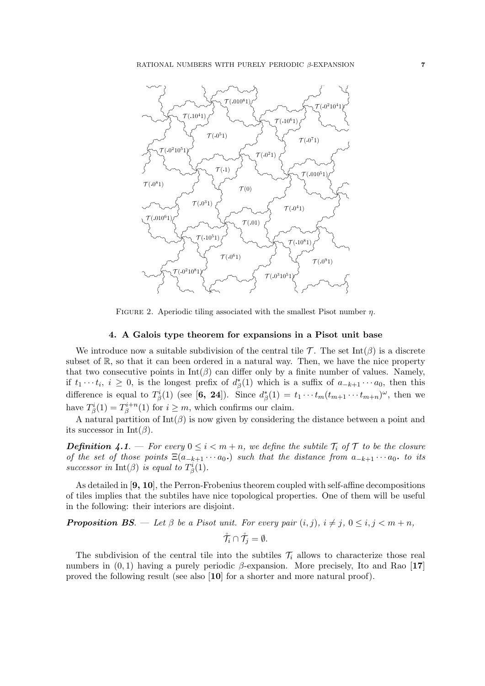

FIGURE 2. Aperiodic tiling associated with the smallest Pisot number  $\eta$ .

## 4. A Galois type theorem for expansions in a Pisot unit base

We introduce now a suitable subdivision of the central tile  $\mathcal{T}$ . The set Int( $\beta$ ) is a discrete subset of  $\mathbb{R}$ , so that it can been ordered in a natural way. Then, we have the nice property that two consecutive points in  $Int(\beta)$  can differ only by a finite number of values. Namely, if  $t_1 \cdots t_i$ ,  $i \geq 0$ , is the longest prefix of  $d^*_{\beta}(1)$  which is a suffix of  $a_{-k+1} \cdots a_0$ , then this difference is equal to  $T^i_\beta(1)$  (see [6, 24]). Since  $d^*_\beta(1) = t_1 \cdots t_m (t_{m+1} \cdots t_{m+n})^\omega$ , then we have  $T^i_\beta(1) = T^{i+n}_\beta$  $\beta^{n+n}(1)$  for  $i \geq m$ , which confirms our claim.

A natural partition of  $Int(\beta)$  is now given by considering the distance between a point and its successor in Int( $\beta$ ).

**Definition 4.1**. — For every  $0 \leq i < m+n$ , we define the subtile  $\mathcal{T}_i$  of  $\mathcal{T}$  to be the closure of the set of those points  $\Xi(a_{-k+1}\cdots a_0)$  such that the distance from  $a_{-k+1}\cdots a_0$ , to its successor in  $Int(\beta)$  is equal to  $T^i_\beta(1)$ .

As detailed in [9, 10], the Perron-Frobenius theorem coupled with self-affine decompositions of tiles implies that the subtiles have nice topological properties. One of them will be useful in the following: their interiors are disjoint.

**Proposition BS.** — Let  $\beta$  be a Pisot unit. For every pair  $(i, j)$ ,  $i \neq j$ ,  $0 \leq i, j \leq m + n$ ,  $\mathring{\mathcal{T}}_i \cap \mathring{\mathcal{T}}_j = \emptyset.$ 

The subdivision of the central tile into the subtiles  $\mathcal{T}_i$  allows to characterize those real numbers in  $(0, 1)$  having a purely periodic  $\beta$ -expansion. More precisely, Ito and Rao [17] proved the following result (see also [10] for a shorter and more natural proof).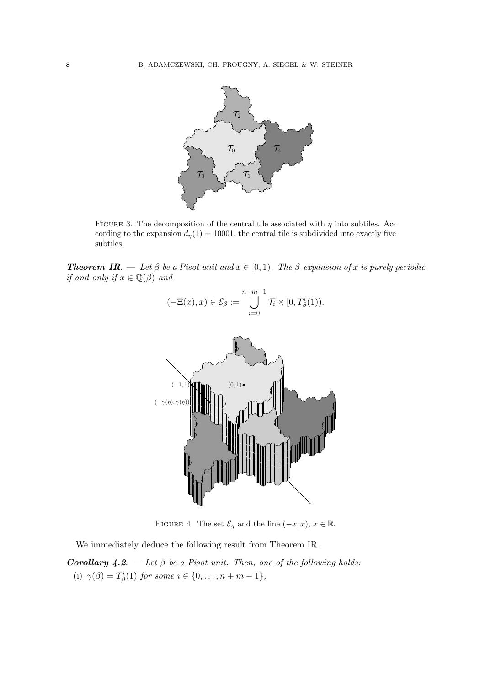

FIGURE 3. The decomposition of the central tile associated with  $\eta$  into subtiles. According to the expansion  $d_n(1) = 10001$ , the central tile is subdivided into exactly five subtiles.

**Theorem IR.** — Let  $\beta$  be a Pisot unit and  $x \in [0,1)$ . The  $\beta$ -expansion of x is purely periodic if and only if  $x \in \mathbb{Q}(\beta)$  and



FIGURE 4. The set  $\mathcal{E}_{\eta}$  and the line  $(-x, x)$ ,  $x \in \mathbb{R}$ .

We immediately deduce the following result from Theorem IR.

**Corollary 4.2.** — Let  $\beta$  be a Pisot unit. Then, one of the following holds: (i)  $\gamma(\beta) = T^i_{\beta}(1)$  for some  $i \in \{0, ..., n + m - 1\}$ ,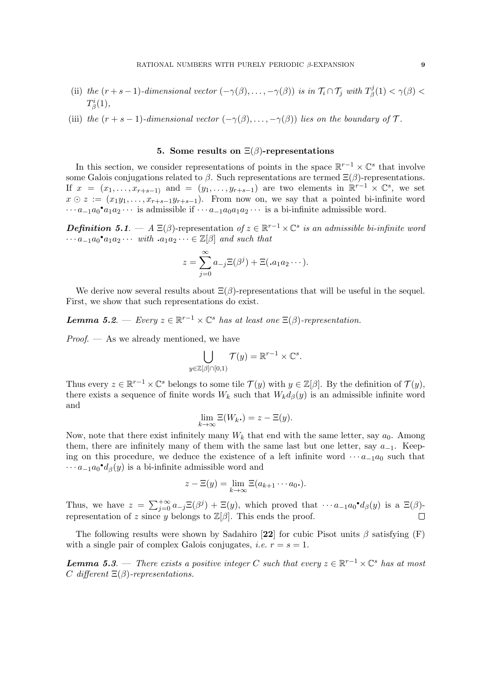- (ii) the  $(r+s-1)$ -dimensional vector  $(-\gamma(\beta), \ldots, -\gamma(\beta))$  is in  $\mathcal{T}_i \cap \mathcal{T}_j$  with  $T^j_\beta$  $\gamma^{\jmath}_\beta(1) < \gamma(\beta) < 0$  $T_{\beta}^i(1),$
- (iii) the  $(r + s 1)$ -dimensional vector  $(-\gamma(\beta), \ldots, -\gamma(\beta))$  lies on the boundary of  $\mathcal T$ .

## 5. Some results on  $\Xi(\beta)$ -representations

In this section, we consider representations of points in the space  $\mathbb{R}^{r-1}\times\mathbb{C}^s$  that involve some Galois conjugations related to  $\beta$ . Such representations are termed  $\Xi(\beta)$ -representations. If  $x = (x_1, \ldots, x_{r+s-1})$  and  $= (y_1, \ldots, y_{r+s-1})$  are two elements in  $\mathbb{R}^{r-1} \times \mathbb{C}^s$ , we set  $x \odot z := (x_1y_1, \ldots, x_{r+s-1}y_{r+s-1})$ . From now on, we say that a pointed bi-infinite word  $\cdots a_{-1}a_0^{\bullet}a_1a_2\cdots$  is admissible if  $\cdots a_{-1}a_0a_1a_2\cdots$  is a bi-infinite admissible word.

**Definition 5.1.**  $-A \Xi(\beta)$ -representation of  $z \in \mathbb{R}^{r-1} \times \mathbb{C}^s$  is an admissible bi-infinite word  $\cdots a_{-1}a_0^{\bullet}a_1a_2\cdots$  with  $a_1a_2\cdots \in \mathbb{Z}[\beta]$  and such that

$$
z = \sum_{j=0}^{\infty} a_{-j} \Xi(\beta^j) + \Xi(\mathbf{a}_1 a_2 \cdots).
$$

We derive now several results about  $\Xi(\beta)$ -representations that will be useful in the sequel. First, we show that such representations do exist.

**Lemma 5.2.** – Every  $z \in \mathbb{R}^{r-1} \times \mathbb{C}^s$  has at least one  $\Xi(\beta)$ -representation.

 $Proof.$  — As we already mentioned, we have

$$
\bigcup_{y\in\mathbb{Z}[\beta]\cap[0,1)}\mathcal{T}(y)=\mathbb{R}^{r-1}\times\mathbb{C}^s.
$$

Thus every  $z \in \mathbb{R}^{r-1} \times \mathbb{C}^s$  belongs to some tile  $\mathcal{T}(y)$  with  $y \in \mathbb{Z}[\beta]$ . By the definition of  $\mathcal{T}(y)$ , there exists a sequence of finite words  $W_k$  such that  $W_k d_{\beta}(y)$  is an admissible infinite word and

$$
\lim_{k \to \infty} \Xi(W_k.) = z - \Xi(y).
$$

Now, note that there exist infinitely many  $W_k$  that end with the same letter, say  $a_0$ . Among them, there are infinitely many of them with the same last but one letter, say  $a_{-1}$ . Keeping on this procedure, we deduce the existence of a left infinite word  $\cdots a_{-1}a_0$  such that  $\cdots a_{-1}a_0 \cdot d_\beta(y)$  is a bi-infinite admissible word and

$$
z - \Xi(y) = \lim_{k \to \infty} \Xi(a_{k+1} \cdots a_0).
$$

Thus, we have  $z = \sum_{j=0}^{+\infty} a_{-j} \Xi(\beta^j) + \Xi(y)$ , which proved that  $\cdots a_{-1} a_0 \cdot d_\beta(y)$  is a  $\Xi(\beta)$ representation of z since y belongs to  $\mathbb{Z}[\beta]$ . This ends the proof.  $\Box$ 

The following results were shown by Sadahiro [22] for cubic Pisot units  $\beta$  satisfying (F) with a single pair of complex Galois conjugates, *i.e.*  $r = s = 1$ .

**Lemma 5.3.** — There exists a positive integer C such that every  $z \in \mathbb{R}^{r-1} \times \mathbb{C}^s$  has at most C different  $\Xi(\beta)$ -representations.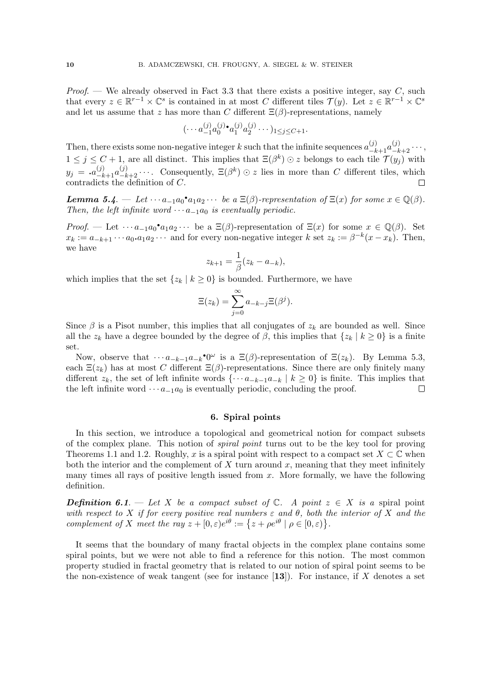*Proof.* — We already observed in Fact 3.3 that there exists a positive integer, say  $C$ , such that every  $z \in \mathbb{R}^{r-1} \times \mathbb{C}^s$  is contained in at most C different tiles  $\mathcal{T}(y)$ . Let  $z \in \mathbb{R}^{r-1} \times \mathbb{C}^s$ and let us assume that z has more than C different  $\Xi(\beta)$ -representations, namely

$$
(\cdots a_{-1}^{(j)} a_0^{(j)} \cdot a_1^{(j)} a_2^{(j)} \cdots)_{1 \leq j \leq C+1}.
$$

Then, there exists some non-negative integer k such that the infinite sequences  $a_{-k+1}^{(j)}a_{-k+2}^{(j)}\cdots$ ,  $1 \leq j \leq C+1$ , are all distinct. This implies that  $\Xi(\beta^k) \odot z$  belongs to each tile  $\mathcal{T}(y_j)$  with  $y_j = a_{-k+1}^{(j)} a_{-k+2}^{(j)} \cdots$  Consequently,  $\Xi(\beta^k) \odot z$  lies in more than C different tiles, which contradicts the definition of  $C$ .

**Lemma 5.4.**  $\begin{aligned} \textbf{Lemma 5.4.} \quad &= \text{Let } \cdots a_{-1}a_0 \cdot a_1a_2 \cdots \text{ be a } \Xi(\beta) \text{-representation of } \Xi(x) \text{ for some } x \in \mathbb{Q}(\beta). \end{aligned}$ Then, the left infinite word  $\cdots a_{-1}a_0$  is eventually periodic.

Proof. — Let  $\cdots a_{-1}a_0^{\bullet}a_1a_2\cdots$  be a  $\Xi(\beta)$ -representation of  $\Xi(x)$  for some  $x \in \mathbb{Q}(\beta)$ . Set  $x_k := a_{-k+1} \cdots a_0 \cdot a_1 a_2 \cdots$  and for every non-negative integer k set  $z_k := \beta^{-k} (x - x_k)$ . Then, we have

$$
z_{k+1} = \frac{1}{\beta}(z_k - a_{-k}),
$$

which implies that the set  $\{z_k | k \geq 0\}$  is bounded. Furthermore, we have

$$
\Xi(z_k) = \sum_{j=0}^{\infty} a_{-k-j} \Xi(\beta^j).
$$

Since  $\beta$  is a Pisot number, this implies that all conjugates of  $z_k$  are bounded as well. Since all the  $z_k$  have a degree bounded by the degree of  $\beta$ , this implies that  $\{z_k | k \geq 0\}$  is a finite set.

Now, observe that  $\cdots a_{-k-1}a_{-k}$ <sup>•</sup>0<sup>ω</sup> is a  $\Xi(\beta)$ -representation of  $\Xi(z_k)$ . By Lemma 5.3, each  $\Xi(z_k)$  has at most C different  $\Xi(\beta)$ -representations. Since there are only finitely many different  $z_k$ , the set of left infinite words  $\{\cdots a_{-k-1}a_{-k} \mid k \ge 0\}$  is finite. This implies that the left infinite word  $\cdots a_{-1}a_0$  is eventually periodic, concluding the proof. the left infinite word  $\cdots a_{-1}a_0$  is eventually periodic, concluding the proof.

## 6. Spiral points

In this section, we introduce a topological and geometrical notion for compact subsets of the complex plane. This notion of spiral point turns out to be the key tool for proving Theorems 1.1 and 1.2. Roughly, x is a spiral point with respect to a compact set  $X \subset \mathbb{C}$  when both the interior and the complement of  $X$  turn around  $x$ , meaning that they meet infinitely many times all rays of positive length issued from  $x$ . More formally, we have the following definition.

**Definition 6.1.** — Let X be a compact subset of  $\mathbb{C}$ . A point  $z \in X$  is a spiral point with respect to X if for every positive real numbers  $\varepsilon$  and  $\theta$ , both the interior of X and the complement of X meet the ray  $z + [0, \varepsilon)e^{i\theta} := \{z + \rho e^{i\theta} \mid \rho \in [0, \varepsilon)\}.$ 

It seems that the boundary of many fractal objects in the complex plane contains some spiral points, but we were not able to find a reference for this notion. The most common property studied in fractal geometry that is related to our notion of spiral point seems to be the non-existence of weak tangent (see for instance  $[13]$ ). For instance, if X denotes a set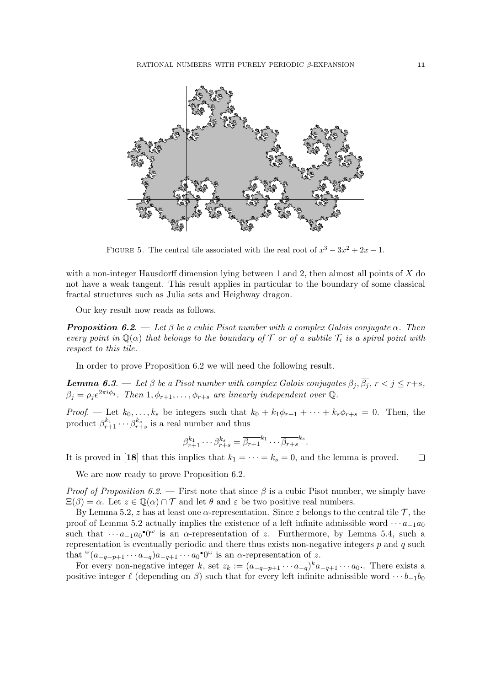

FIGURE 5. The central tile associated with the real root of  $x^3 - 3x^2 + 2x - 1$ .

with a non-integer Hausdorff dimension lying between 1 and 2, then almost all points of  $X$  do not have a weak tangent. This result applies in particular to the boundary of some classical fractal structures such as Julia sets and Heighway dragon.

Our key result now reads as follows.

**Proposition 6.2.** — Let  $\beta$  be a cubic Pisot number with a complex Galois conjugate  $\alpha$ . Then every point in  $\mathbb{Q}(\alpha)$  that belongs to the boundary of T or of a subtile  $\mathcal{T}_i$  is a spiral point with respect to this tile.

In order to prove Proposition 6.2 we will need the following result.

**Lemma 6.3.** — Let  $\beta$  be a Pisot number with complex Galois conjugates  $\beta_j$ ,  $\overline{\beta_j}$ ,  $r < j \leq r+s$ ,  $\beta_j = \rho_j e^{2\pi i \phi_j}$ . Then  $1, \phi_{r+1}, \dots, \phi_{r+s}$  are linearly independent over Q.

Proof. — Let  $k_0, \ldots, k_s$  be integers such that  $k_0 + k_1\phi_{r+1} + \cdots + k_s\phi_{r+s} = 0$ . Then, the product  $\beta_{r+1}^{k_1} \cdots \beta_{r+s}^{k_s}$  is a real number and thus

$$
\beta_{r+1}^{k_1} \cdots \beta_{r+s}^{k_s} = \overline{\beta_{r+1}}^{k_1} \cdots \overline{\beta_{r+s}}^{k_s}.
$$

It is proved in [18] that this implies that  $k_1 = \cdots = k_s = 0$ , and the lemma is proved.  $\Box$ 

We are now ready to prove Proposition 6.2.

*Proof of Proposition 6.2.* — First note that since  $\beta$  is a cubic Pisot number, we simply have  $\Xi(\beta) = \alpha$ . Let  $z \in \mathbb{Q}(\alpha) \cap \mathcal{T}$  and let  $\theta$  and  $\varepsilon$  be two positive real numbers.

By Lemma 5.2, z has at least one  $\alpha$ -representation. Since z belongs to the central tile  $\mathcal{T}$ , the proof of Lemma 5.2 actually implies the existence of a left infinite admissible word  $\cdots a_{-1}a_0$ such that  $\cdots a_{-1}a_0$ <sup>•</sup>0<sup> $\omega$ </sup> is an  $\alpha$ -representation of z. Furthermore, by Lemma 5.4, such a representation is eventually periodic and there thus exists non-negative integers  $p$  and  $q$  such that  $\omega_{(a_{-q-p+1}\cdots a_{-q})a_{-q+1}\cdots a_0\bullet 0^\omega}$  is an  $\alpha$ -representation of z.

For every non-negative integer k, set  $z_k := (a_{-q-p+1} \cdots a_{-q})^k a_{-q+1} \cdots a_0$ . There exists a positive integer  $\ell$  (depending on  $\beta$ ) such that for every left infinite admissible word  $\cdots b_{-1}b_0$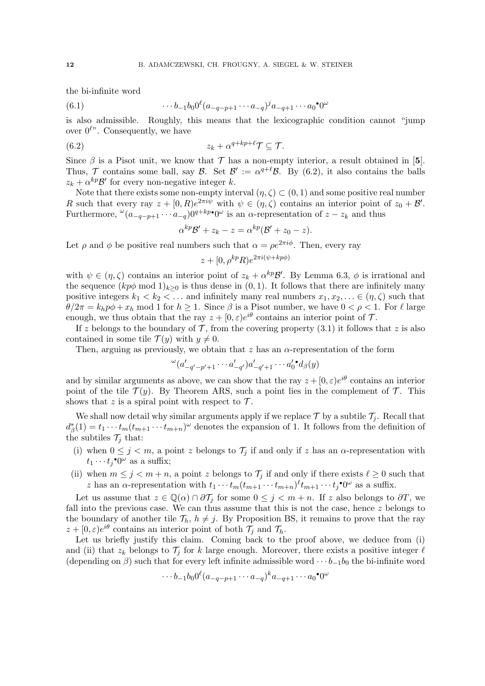the bi-infinite word

(6.1) 
$$
\cdots b_{-1}b_0 0^{\ell} (a_{-q-p+1} \cdots a_{-q})^j a_{-q+1} \cdots a_0^{\bullet} 0^{\omega}
$$

is also admissible. Roughly, this means that the lexicographic condition cannot "jump over  $0^{\ell}$ . Consequently, we have

$$
(6.2) \t\t\t z_k + \alpha^{q+kp+\ell} \mathcal{T} \subseteq \mathcal{T}.
$$

Since  $\beta$  is a Pisot unit, we know that  $\mathcal T$  has a non-empty interior, a result obtained in [5]. Thus,  $\mathcal T$  contains some ball, say  $\mathcal B$ . Set  $\mathcal B' := \alpha^{q+\ell} \mathcal B$ . By (6.2), it also contains the balls  $z_k + \alpha^{kp} \mathcal{B}'$  for every non-negative integer k.

Note that there exists some non-empty interval  $(\eta, \zeta) \subset (0, 1)$  and some positive real number R such that every ray  $z + [0, R]e^{2\pi i \psi}$  with  $\psi \in (\eta, \zeta)$  contains an interior point of  $z_0 + \mathcal{B}'$ . Furthermore,  $\omega_{(a-q-p+1}\cdots a_{-q})0^{q+kp\bullet}0^{\omega}$  is an  $\alpha$ -representation of  $z-z_k$  and thus

$$
\alpha^{kp}\mathcal{B}'+z_k-z=\alpha^{kp}(\mathcal{B}'+z_0-z).
$$

Let  $\rho$  and  $\phi$  be positive real numbers such that  $\alpha = \rho e^{2\pi i \phi}$ . Then, every ray

$$
z + [0, \rho^{kp} R)e^{2\pi i(\psi + kp\phi)}
$$

with  $\psi \in (\eta, \zeta)$  contains an interior point of  $z_k + \alpha^{kp} \mathcal{B}'$ . By Lemma 6.3,  $\phi$  is irrational and the sequence  $(kp\phi \mod 1)_{k>0}$  is thus dense in  $(0, 1)$ . It follows that there are infinitely many positive integers  $k_1 < k_2 < \ldots$  and infinitely many real numbers  $x_1, x_2, \ldots \in (\eta, \zeta)$  such that  $\theta/2\pi = k_h p\phi + x_h \text{ mod 1 for } h \ge 1$ . Since  $\beta$  is a Pisot number, we have  $0 < \rho < 1$ . For  $\ell$  large enough, we thus obtain that the ray  $z + [0, \varepsilon)e^{i\theta}$  contains an interior point of  $\mathcal{T}$ .

If z belongs to the boundary of  $\mathcal T$ , from the covering property (3.1) it follows that z is also contained in some tile  $\mathcal{T}(y)$  with  $y \neq 0$ .

Then, arguing as previously, we obtain that z has an  $\alpha$ -representation of the form

$$
\omega_{(a'_{-q'-p'+1}\cdots a'_{-q'})a'_{-q'+1}\cdots a_0'}\cdot d_{\beta}(y)
$$

and by similar arguments as above, we can show that the ray  $z + [0, \varepsilon)e^{i\theta}$  contains an interior point of the tile  $\mathcal{T}(y)$ . By Theorem ARS, such a point lies in the complement of  $\mathcal{T}$ . This shows that z is a spiral point with respect to  $\mathcal{T}$ .

We shall now detail why similar arguments apply if we replace  $\mathcal T$  by a subtile  $\mathcal T_i$ . Recall that  $d_{\beta}^{*}(1) = t_1 \cdots t_m (t_{m+1} \cdots t_{m+n})^{\omega}$  denotes the expansion of 1. It follows from the definition of the subtiles  $\mathcal{T}_i$  that:

- (i) when  $0 \leq j < m$ , a point z belongs to  $\mathcal{T}_j$  if and only if z has an  $\alpha$ -representation with  $t_1 \cdots t_j$ <sup>•</sup>0<sup> $\omega$ </sup> as a suffix;
- (ii) when  $m \leq j < m+n$ , a point z belongs to  $\mathcal{T}_j$  if and only if there exists  $\ell \geq 0$  such that z has an  $\alpha$ -representation with  $t_1 \cdots t_m(t_{m+1} \cdots t_{m+n})^{\ell} t_{m+1} \cdots t_j^* 0^{\omega}$  as a suffix.

Let us assume that  $z \in \mathbb{Q}(\alpha) \cap \partial \mathcal{T}_i$  for some  $0 \leq j < m+n$ . If z also belongs to  $\partial T$ , we fall into the previous case. We can thus assume that this is not the case, hence  $z$  belongs to the boundary of another tile  $\mathcal{T}_h$ ,  $h \neq j$ . By Proposition BS, it remains to prove that the ray  $z + [0, \varepsilon)e^{i\theta}$  contains an interior point of both  $\mathcal{T}_j$  and  $\mathcal{T}_h$ .

Let us briefly justify this claim. Coming back to the proof above, we deduce from (i) and (ii) that  $z_k$  belongs to  $\mathcal{T}_i$  for k large enough. Moreover, there exists a positive integer  $\ell$ (depending on  $\beta$ ) such that for every left infinite admissible word  $\cdots b_{-1}b_0$  the bi-infinite word

$$
\cdots b_{-1}b_00^{\ell}(a_{-q-p+1}\cdots a_{-q})^k a_{-q+1}\cdots a_0^{\bullet}0^{\omega}
$$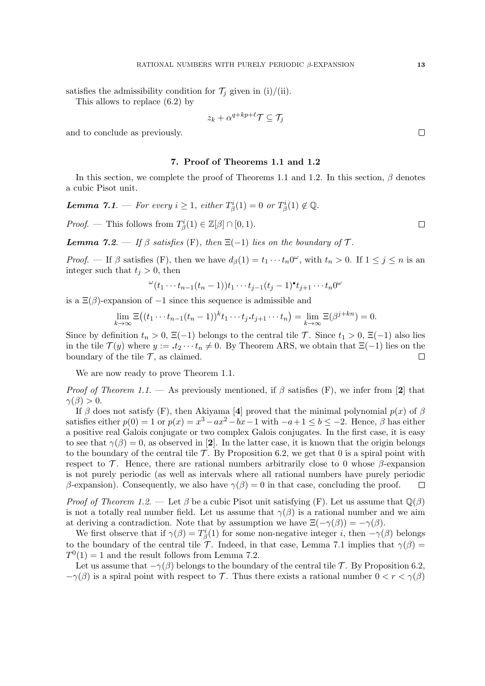satisfies the admissibility condition for  $\mathcal{T}_j$  given in (i)/(ii).

This allows to replace (6.2) by

$$
z_k + \alpha^{q+kp+\ell} \mathcal{T} \subseteq \mathcal{T}_j
$$

and to conclude as previously.

### 7. Proof of Theorems 1.1 and 1.2

In this section, we complete the proof of Theorems 1.1 and 1.2. In this section,  $\beta$  denotes a cubic Pisot unit.

**Lemma 7.1**. — For every  $i \geq 1$ , either  $T^i_\beta(1) = 0$  or  $T^i_\beta(1) \notin \mathbb{Q}$ .

*Proof.* — This follows from  $T^i_\beta(1) \in \mathbb{Z}[\beta] \cap [0,1)$ .

**Lemma 7.2.** — If  $\beta$  satisfies (F), then  $\Xi(-1)$  lies on the boundary of  $\mathcal{T}$ .

*Proof.* — If  $\beta$  satisfies (F), then we have  $d_{\beta}(1) = t_1 \cdots t_n 0^{\omega}$ , with  $t_n > 0$ . If  $1 \leq j \leq n$  is an integer such that  $t_j > 0$ , then

$$
\omega_{(t_1 \cdots t_{n-1}(t_n-1))t_1 \cdots t_{j-1}(t_j-1)^{\bullet} t_{j+1} \cdots t_n 0^{\omega}}
$$

is a  $\Xi(\beta)$ -expansion of  $-1$  since this sequence is admissible and

$$
\lim_{k \to \infty} \Xi((t_1 \cdots t_{n-1}(t_n-1))^{k} t_1 \cdots t_j \cdot t_{j+1} \cdots t_n) = \lim_{k \to \infty} \Xi(\beta^{j+kn}) = 0.
$$

Since by definition  $t_n > 0$ ,  $\Xi(-1)$  belongs to the central tile T. Since  $t_1 > 0$ ,  $\Xi(-1)$  also lies in the tile  $\mathcal{T}(y)$  where  $y := \mathbf{.} t_2 \cdots t_n \neq 0$ . By Theorem ARS, we obtain that  $\Xi(-1)$  lies on the boundary of the tile  $\mathcal{T}$ , as claimed. boundary of the tile  $\mathcal T$ , as claimed.

We are now ready to prove Theorem 1.1.

*Proof of Theorem 1.1.* — As previously mentioned, if  $\beta$  satisfies (F), we infer from [2] that  $\gamma(\beta) > 0.$ 

If  $\beta$  does not satisfy (F), then Akiyama [4] proved that the minimal polynomial  $p(x)$  of  $\beta$ satisfies either  $p(0) = 1$  or  $p(x) = x^3 - ax^2 - bx - 1$  with  $-a+1 \le b \le -2$ . Hence,  $\beta$  has either a positive real Galois conjugate or two complex Galois conjugates. In the first case, it is easy to see that  $\gamma(\beta) = 0$ , as observed in [2]. In the latter case, it is known that the origin belongs to the boundary of the central tile  $\mathcal{T}$ . By Proposition 6.2, we get that 0 is a spiral point with respect to  $\mathcal T$ . Hence, there are rational numbers arbitrarily close to 0 whose  $\beta$ -expansion is not purely periodic (as well as intervals where all rational numbers have purely periodic β-expansion). Consequently, we also have  $γ(β) = 0$  in that case, concluding the proof.  $\Box$ 

*Proof of Theorem 1.2.* — Let  $\beta$  be a cubic Pisot unit satisfying (F). Let us assume that  $\mathbb{Q}(\beta)$ is not a totally real number field. Let us assume that  $\gamma(\beta)$  is a rational number and we aim at deriving a contradiction. Note that by assumption we have  $\Xi(-\gamma(\beta)) = -\gamma(\beta)$ .

We first observe that if  $\gamma(\beta) = T^i_\beta(1)$  for some non-negative integer i, then  $-\gamma(\beta)$  belongs to the boundary of the central tile T. Indeed, in that case, Lemma 7.1 implies that  $\gamma(\beta)$  =  $T^0(1) = 1$  and the result follows from Lemma 7.2.

Let us assume that  $-\gamma(\beta)$  belongs to the boundary of the central tile T. By Proposition 6.2,  $-\gamma(\beta)$  is a spiral point with respect to T. Thus there exists a rational number  $0 < r < \gamma(\beta)$ 

 $\Box$ 

 $\Box$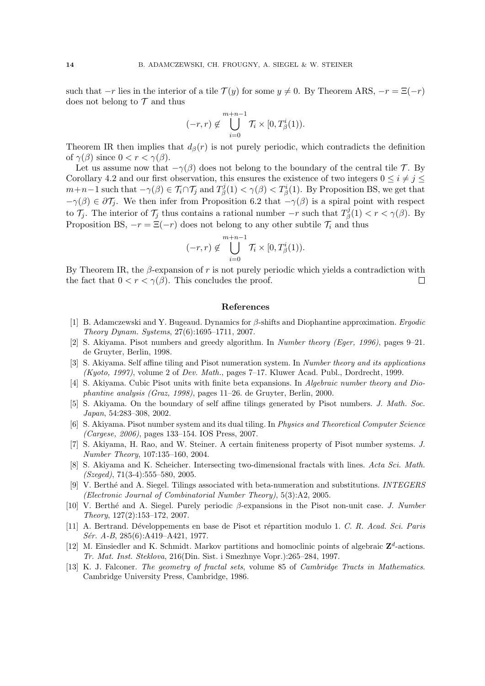such that  $-r$  lies in the interior of a tile  $\mathcal{T}(y)$  for some  $y \neq 0$ . By Theorem ARS,  $-r = \Xi(-r)$ does not belong to  $\mathcal T$  and thus

$$
(-r,r) \notin \bigcup_{i=0}^{m+n-1} \mathcal{T}_i \times [0,T^i_{\beta}(1)).
$$

Theorem IR then implies that  $d_{\beta}(r)$  is not purely periodic, which contradicts the definition of  $\gamma(\beta)$  since  $0 < r < \gamma(\beta)$ .

Let us assume now that  $-\gamma(\beta)$  does not belong to the boundary of the central tile T. By Corollary 4.2 and our first observation, this ensures the existence of two integers  $0 \leq i \neq j \leq$  $m+n-1$  such that  $-\gamma(\beta) \in \mathcal{T}_i \cap \mathcal{T}_j$  and  $T_\beta^j$  $\beta^{j}(1) < \gamma(\beta) < T_{\beta}^{i}(1)$ . By Proposition BS, we get that  $-\gamma(\beta) \in \partial \mathcal{T}_j$ . We then infer from Proposition 6.2 that  $-\gamma(\beta)$  is a spiral point with respect to  $\mathcal{T}_j$ . The interior of  $\mathcal{T}_j$  thus contains a rational number  $-r$  such that  $T^j_\beta$  $\zeta_{\beta}^{\jmath}(1) < r < \gamma(\beta)$ . By Proposition BS,  $-r = \Xi(-r)$  does not belong to any other subtile  $\mathcal{T}_i$  and thus

$$
(-r,r) \notin \bigcup_{i=0}^{m+n-1} \mathcal{T}_i \times [0,T^i_{\beta}(1)).
$$

By Theorem IR, the  $\beta$ -expansion of r is not purely periodic which yields a contradiction with the fact that  $0 < r < \gamma(\beta)$ . This concludes the proof.  $\Box$ 

## References

- [1] B. Adamczewski and Y. Bugeaud. Dynamics for β-shifts and Diophantine approximation. Ergodic Theory Dynam. Systems, 27(6):1695–1711, 2007.
- [2] S. Akiyama. Pisot numbers and greedy algorithm. In Number theory (Eger, 1996), pages 9–21. de Gruyter, Berlin, 1998.
- [3] S. Akiyama. Self affine tiling and Pisot numeration system. In Number theory and its applications (Kyoto, 1997), volume 2 of Dev. Math., pages 7–17. Kluwer Acad. Publ., Dordrecht, 1999.
- [4] S. Akiyama. Cubic Pisot units with finite beta expansions. In Algebraic number theory and Diophantine analysis (Graz, 1998), pages 11–26. de Gruyter, Berlin, 2000.
- [5] S. Akiyama. On the boundary of self affine tilings generated by Pisot numbers. J. Math. Soc. Japan, 54:283–308, 2002.
- [6] S. Akiyama. Pisot number system and its dual tiling. In Physics and Theoretical Computer Science (Cargese, 2006), pages 133–154. IOS Press, 2007.
- [7] S. Akiyama, H. Rao, and W. Steiner. A certain finiteness property of Pisot number systems. J. Number Theory, 107:135–160, 2004.
- [8] S. Akiyama and K. Scheicher. Intersecting two-dimensional fractals with lines. Acta Sci. Math.  $(Szede, 71(3-4): 555-580, 2005.$
- [9] V. Berthé and A. Siegel. Tilings associated with beta-numeration and substitutions. INTEGERS (Electronic Journal of Combinatorial Number Theory), 5(3):A2, 2005.
- [10] V. Berth´e and A. Siegel. Purely periodic β-expansions in the Pisot non-unit case. J. Number Theory, 127(2):153–172, 2007.
- [11] A. Bertrand. Développements en base de Pisot et répartition modulo 1. C. R. Acad. Sci. Paris  $Sér. A-B, 285(6):A419-A421, 1977.$
- [12] M. Einsiedler and K. Schmidt. Markov partitions and homoclinic points of algebraic  $\mathbb{Z}^d$ -actions. Tr. Mat. Inst. Steklova, 216(Din. Sist. i Smezhnye Vopr.):265–284, 1997.
- [13] K. J. Falconer. The geometry of fractal sets, volume 85 of Cambridge Tracts in Mathematics. Cambridge University Press, Cambridge, 1986.